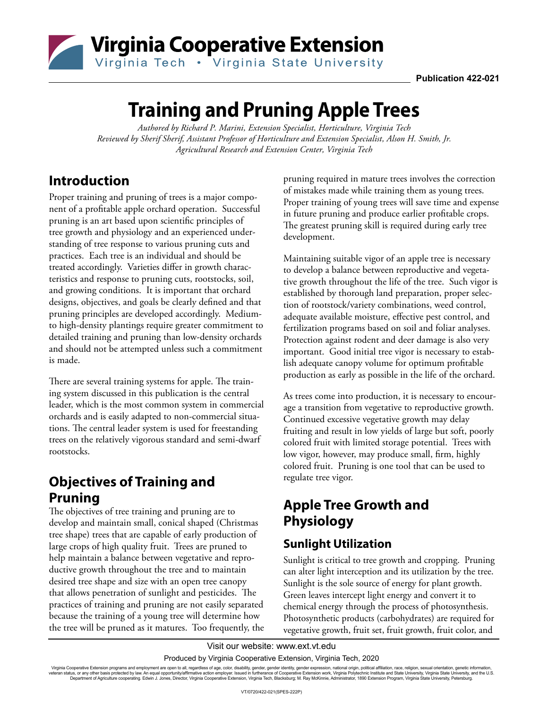

# **Training and Pruning Apple Trees**

*Authored by Richard P. Marini, Extension Specialist, Horticulture, Virginia Tech Reviewed by Sherif Sherif, Assistant Professor of Horticulture and Extension Specialist, Alson H. Smith, Jr. Agricultural Research and Extension Center, Virginia Tech*

## **Introduction**

Proper training and pruning of trees is a major component of a profitable apple orchard operation. Successful pruning is an art based upon scientific principles of tree growth and physiology and an experienced understanding of tree response to various pruning cuts and practices. Each tree is an individual and should be treated accordingly. Varieties differ in growth characteristics and response to pruning cuts, rootstocks, soil, and growing conditions. It is important that orchard designs, objectives, and goals be clearly defined and that pruning principles are developed accordingly. Mediumto high-density plantings require greater commitment to detailed training and pruning than low-density orchards and should not be attempted unless such a commitment is made.

There are several training systems for apple. The training system discussed in this publication is the central leader, which is the most common system in commercial orchards and is easily adapted to non-commercial situations. The central leader system is used for freestanding trees on the relatively vigorous standard and semi-dwarf rootstocks.

## **Objectives of Training and Pruning**

The objectives of tree training and pruning are to develop and maintain small, conical shaped (Christmas tree shape) trees that are capable of early production of large crops of high quality fruit. Trees are pruned to help maintain a balance between vegetative and reproductive growth throughout the tree and to maintain desired tree shape and size with an open tree canopy that allows penetration of sunlight and pesticides. The practices of training and pruning are not easily separated because the training of a young tree will determine how the tree will be pruned as it matures. Too frequently, the

pruning required in mature trees involves the correction of mistakes made while training them as young trees. Proper training of young trees will save time and expense in future pruning and produce earlier profitable crops. The greatest pruning skill is required during early tree development.

Maintaining suitable vigor of an apple tree is necessary to develop a balance between reproductive and vegetative growth throughout the life of the tree. Such vigor is established by thorough land preparation, proper selection of rootstock/variety combinations, weed control, adequate available moisture, effective pest control, and fertilization programs based on soil and foliar analyses. Protection against rodent and deer damage is also very important. Good initial tree vigor is necessary to establish adequate canopy volume for optimum profitable production as early as possible in the life of the orchard.

As trees come into production, it is necessary to encourage a transition from vegetative to reproductive growth. Continued excessive vegetative growth may delay fruiting and result in low yields of large but soft, poorly colored fruit with limited storage potential. Trees with low vigor, however, may produce small, firm, highly colored fruit. Pruning is one tool that can be used to regulate tree vigor.

## **Apple Tree Growth and Physiology**

## **Sunlight Utilization**

Sunlight is critical to tree growth and cropping. Pruning can alter light interception and its utilization by the tree. Sunlight is the sole source of energy for plant growth. Green leaves intercept light energy and convert it to chemical energy through the process of photosynthesis. Photosynthetic products (carbohydrates) are required for vegetative growth, fruit set, fruit growth, fruit color, and

Visit our website: www.ext.vt.edu

Produced by Virginia Cooperative Extension, Virginia Tech, 2020

Virginia Cooperative Extension programs and employment are open to all, regardless of age, color, disability, gender, gender identity, gender expression, national origin, political affiliation, race, religion, sexual orie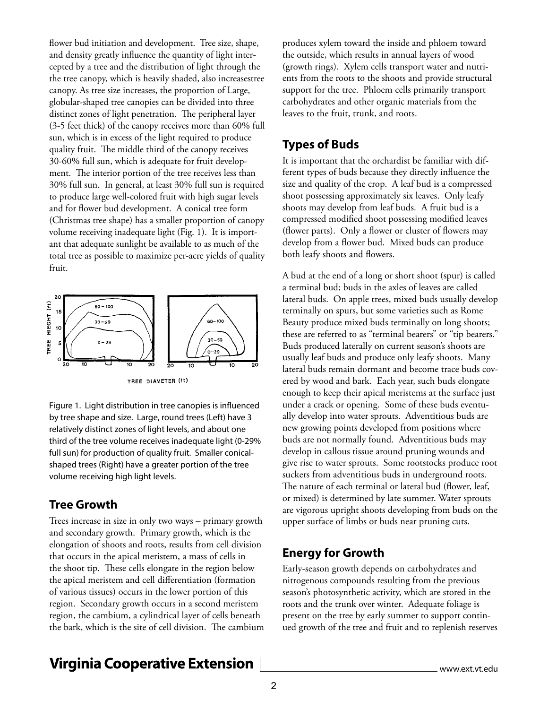flower bud initiation and development. Tree size, shape, and density greatly influence the quantity of light intercepted by a tree and the distribution of light through the the tree canopy, which is heavily shaded, also increasestree canopy. As tree size increases, the proportion of Large, globular-shaped tree canopies can be divided into three distinct zones of light penetration. The peripheral layer (3-5 feet thick) of the canopy receives more than 60% full sun, which is in excess of the light required to produce quality fruit. The middle third of the canopy receives 30-60% full sun, which is adequate for fruit development. The interior portion of the tree receives less than 30% full sun. In general, at least 30% full sun is required to produce large well-colored fruit with high sugar levels and for flower bud development. A conical tree form (Christmas tree shape) has a smaller proportion of canopy volume receiving inadequate light (Fig. 1). It is important that adequate sunlight be available to as much of the total tree as possible to maximize per-acre yields of quality fruit.



TREE DIAMETER (ft)

Figure 1. Light distribution in tree canopies is influenced by tree shape and size. Large, round trees (Left) have 3 relatively distinct zones of light levels, and about one third of the tree volume receives inadequate light (0-29% full sun) for production of quality fruit. Smaller conicalshaped trees (Right) have a greater portion of the tree volume receiving high light levels.

#### **Tree Growth**

Trees increase in size in only two ways – primary growth and secondary growth. Primary growth, which is the elongation of shoots and roots, results from cell division that occurs in the apical meristem, a mass of cells in the shoot tip. These cells elongate in the region below the apical meristem and cell differentiation (formation of various tissues) occurs in the lower portion of this region. Secondary growth occurs in a second meristem region, the cambium, a cylindrical layer of cells beneath the bark, which is the site of cell division. The cambium

produces xylem toward the inside and phloem toward the outside, which results in annual layers of wood (growth rings). Xylem cells transport water and nutrients from the roots to the shoots and provide structural support for the tree. Phloem cells primarily transport carbohydrates and other organic materials from the leaves to the fruit, trunk, and roots.

### **Types of Buds**

It is important that the orchardist be familiar with different types of buds because they directly influence the size and quality of the crop. A leaf bud is a compressed shoot possessing approximately six leaves. Only leafy shoots may develop from leaf buds. A fruit bud is a compressed modified shoot possessing modified leaves (flower parts). Only a flower or cluster of flowers may develop from a flower bud. Mixed buds can produce both leafy shoots and flowers.

A bud at the end of a long or short shoot (spur) is called a terminal bud; buds in the axles of leaves are called lateral buds. On apple trees, mixed buds usually develop terminally on spurs, but some varieties such as Rome Beauty produce mixed buds terminally on long shoots; these are referred to as "terminal bearers" or "tip bearers." Buds produced laterally on current season's shoots are usually leaf buds and produce only leafy shoots. Many lateral buds remain dormant and become trace buds covered by wood and bark. Each year, such buds elongate enough to keep their apical meristems at the surface just under a crack or opening. Some of these buds eventually develop into water sprouts. Adventitious buds are new growing points developed from positions where buds are not normally found. Adventitious buds may develop in callous tissue around pruning wounds and give rise to water sprouts. Some rootstocks produce root suckers from adventitious buds in underground roots. The nature of each terminal or lateral bud (flower, leaf, or mixed) is determined by late summer. Water sprouts are vigorous upright shoots developing from buds on the upper surface of limbs or buds near pruning cuts.

### **Energy for Growth**

Early-season growth depends on carbohydrates and nitrogenous compounds resulting from the previous season's photosynthetic activity, which are stored in the roots and the trunk over winter. Adequate foliage is present on the tree by early summer to support continued growth of the tree and fruit and to replenish reserves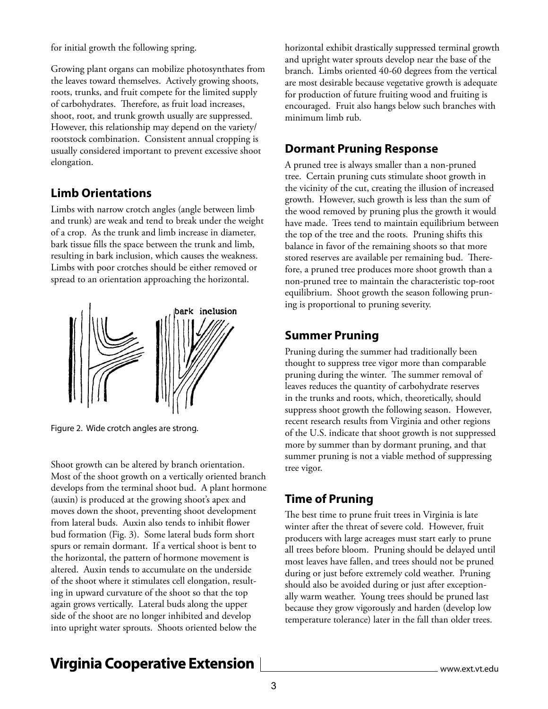for initial growth the following spring.

Growing plant organs can mobilize photosynthates from the leaves toward themselves. Actively growing shoots, roots, trunks, and fruit compete for the limited supply of carbohydrates. Therefore, as fruit load increases, shoot, root, and trunk growth usually are suppressed. However, this relationship may depend on the variety/ rootstock combination. Consistent annual cropping is usually considered important to prevent excessive shoot elongation.

### **Limb Orientations**

Limbs with narrow crotch angles (angle between limb and trunk) are weak and tend to break under the weight of a crop. As the trunk and limb increase in diameter, bark tissue fills the space between the trunk and limb, resulting in bark inclusion, which causes the weakness. Limbs with poor crotches should be either removed or spread to an orientation approaching the horizontal.



Figure 2. Wide crotch angles are strong.

Shoot growth can be altered by branch orientation. Most of the shoot growth on a vertically oriented branch develops from the terminal shoot bud. A plant hormone (auxin) is produced at the growing shoot's apex and moves down the shoot, preventing shoot development from lateral buds. Auxin also tends to inhibit flower bud formation (Fig. 3). Some lateral buds form short spurs or remain dormant. If a vertical shoot is bent to the horizontal, the pattern of hormone movement is altered. Auxin tends to accumulate on the underside of the shoot where it stimulates cell elongation, resulting in upward curvature of the shoot so that the top again grows vertically. Lateral buds along the upper side of the shoot are no longer inhibited and develop into upright water sprouts. Shoots oriented below the

horizontal exhibit drastically suppressed terminal growth and upright water sprouts develop near the base of the branch. Limbs oriented 40-60 degrees from the vertical are most desirable because vegetative growth is adequate for production of future fruiting wood and fruiting is encouraged. Fruit also hangs below such branches with minimum limb rub.

### **Dormant Pruning Response**

A pruned tree is always smaller than a non-pruned tree. Certain pruning cuts stimulate shoot growth in the vicinity of the cut, creating the illusion of increased growth. However, such growth is less than the sum of the wood removed by pruning plus the growth it would have made. Trees tend to maintain equilibrium between the top of the tree and the roots. Pruning shifts this balance in favor of the remaining shoots so that more stored reserves are available per remaining bud. Therefore, a pruned tree produces more shoot growth than a non-pruned tree to maintain the characteristic top-root equilibrium. Shoot growth the season following pruning is proportional to pruning severity.

### **Summer Pruning**

Pruning during the summer had traditionally been thought to suppress tree vigor more than comparable pruning during the winter. The summer removal of leaves reduces the quantity of carbohydrate reserves in the trunks and roots, which, theoretically, should suppress shoot growth the following season. However, recent research results from Virginia and other regions of the U.S. indicate that shoot growth is not suppressed more by summer than by dormant pruning, and that summer pruning is not a viable method of suppressing tree vigor.

## **Time of Pruning**

The best time to prune fruit trees in Virginia is late winter after the threat of severe cold. However, fruit producers with large acreages must start early to prune all trees before bloom. Pruning should be delayed until most leaves have fallen, and trees should not be pruned during or just before extremely cold weather. Pruning should also be avoided during or just after exceptionally warm weather. Young trees should be pruned last because they grow vigorously and harden (develop low temperature tolerance) later in the fall than older trees.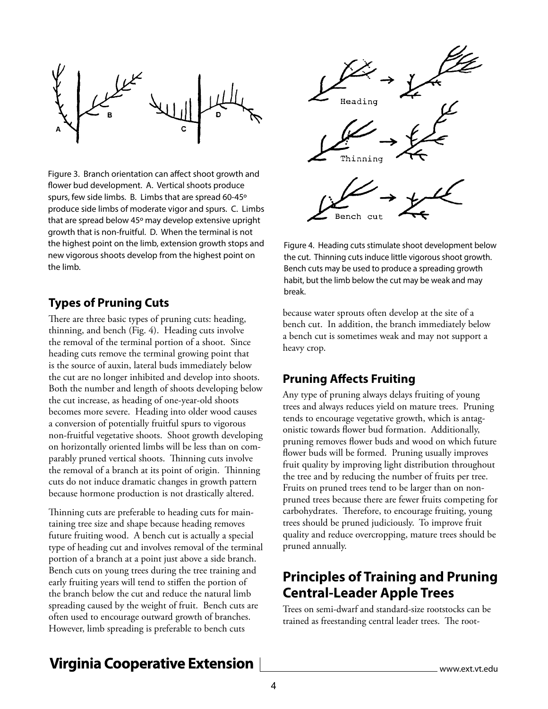

Figure 3. Branch orientation can affect shoot growth and flower bud development. A. Vertical shoots produce spurs, few side limbs. B. Limbs that are spread 60-45º produce side limbs of moderate vigor and spurs. C. Limbs that are spread below 45º may develop extensive upright growth that is non-fruitful. D. When the terminal is not the highest point on the limb, extension growth stops and new vigorous shoots develop from the highest point on the limb.

### **Types of Pruning Cuts**

There are three basic types of pruning cuts: heading, thinning, and bench (Fig. 4). Heading cuts involve the removal of the terminal portion of a shoot. Since heading cuts remove the terminal growing point that is the source of auxin, lateral buds immediately below the cut are no longer inhibited and develop into shoots. Both the number and length of shoots developing below the cut increase, as heading of one-year-old shoots becomes more severe. Heading into older wood causes a conversion of potentially fruitful spurs to vigorous non-fruitful vegetative shoots. Shoot growth developing on horizontally oriented limbs will be less than on comparably pruned vertical shoots. Thinning cuts involve the removal of a branch at its point of origin. Thinning cuts do not induce dramatic changes in growth pattern because hormone production is not drastically altered.

Thinning cuts are preferable to heading cuts for maintaining tree size and shape because heading removes future fruiting wood. A bench cut is actually a special type of heading cut and involves removal of the terminal portion of a branch at a point just above a side branch. Bench cuts on young trees during the tree training and early fruiting years will tend to stiffen the portion of the branch below the cut and reduce the natural limb spreading caused by the weight of fruit. Bench cuts are often used to encourage outward growth of branches. However, limb spreading is preferable to bench cuts



Figure 4. Heading cuts stimulate shoot development below the cut. Thinning cuts induce little vigorous shoot growth. Bench cuts may be used to produce a spreading growth habit, but the limb below the cut may be weak and may break.

because water sprouts often develop at the site of a bench cut. In addition, the branch immediately below a bench cut is sometimes weak and may not support a heavy crop.

#### **Pruning Affects Fruiting**

Any type of pruning always delays fruiting of young trees and always reduces yield on mature trees. Pruning tends to encourage vegetative growth, which is antagonistic towards flower bud formation. Additionally, pruning removes flower buds and wood on which future flower buds will be formed. Pruning usually improves fruit quality by improving light distribution throughout the tree and by reducing the number of fruits per tree. Fruits on pruned trees tend to be larger than on nonpruned trees because there are fewer fruits competing for carbohydrates. Therefore, to encourage fruiting, young trees should be pruned judiciously. To improve fruit quality and reduce overcropping, mature trees should be pruned annually.

## **Principles of Training and Pruning Central-Leader Apple Trees**

Trees on semi-dwarf and standard-size rootstocks can be trained as freestanding central leader trees. The root-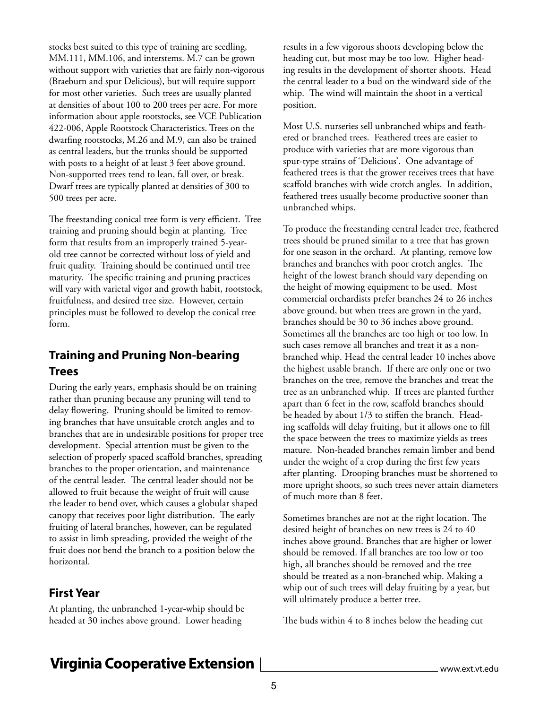stocks best suited to this type of training are seedling, MM.111, MM.106, and interstems. M.7 can be grown without support with varieties that are fairly non-vigorous (Braeburn and spur Delicious), but will require support for most other varieties. Such trees are usually planted at densities of about 100 to 200 trees per acre. For more information about apple rootstocks, see VCE Publication 422-006, Apple Rootstock Characteristics. Trees on the dwarfing rootstocks, M.26 and M.9, can also be trained as central leaders, but the trunks should be supported with posts to a height of at least 3 feet above ground. Non-supported trees tend to lean, fall over, or break. Dwarf trees are typically planted at densities of 300 to 500 trees per acre.

The freestanding conical tree form is very efficient. Tree training and pruning should begin at planting. Tree form that results from an improperly trained 5-yearold tree cannot be corrected without loss of yield and fruit quality. Training should be continued until tree maturity. The specific training and pruning practices will vary with varietal vigor and growth habit, rootstock, fruitfulness, and desired tree size. However, certain principles must be followed to develop the conical tree form.

### **Training and Pruning Non-bearing Trees**

During the early years, emphasis should be on training rather than pruning because any pruning will tend to delay flowering. Pruning should be limited to removing branches that have unsuitable crotch angles and to branches that are in undesirable positions for proper tree development. Special attention must be given to the selection of properly spaced scaffold branches, spreading branches to the proper orientation, and maintenance of the central leader. The central leader should not be allowed to fruit because the weight of fruit will cause the leader to bend over, which causes a globular shaped canopy that receives poor light distribution. The early fruiting of lateral branches, however, can be regulated to assist in limb spreading, provided the weight of the fruit does not bend the branch to a position below the horizontal.

#### **First Year**

At planting, the unbranched 1-year-whip should be headed at 30 inches above ground. Lower heading

results in a few vigorous shoots developing below the heading cut, but most may be too low. Higher heading results in the development of shorter shoots. Head the central leader to a bud on the windward side of the whip. The wind will maintain the shoot in a vertical position.

Most U.S. nurseries sell unbranched whips and feathered or branched trees. Feathered trees are easier to produce with varieties that are more vigorous than spur-type strains of 'Delicious'. One advantage of feathered trees is that the grower receives trees that have scaffold branches with wide crotch angles. In addition, feathered trees usually become productive sooner than unbranched whips.

To produce the freestanding central leader tree, feathered trees should be pruned similar to a tree that has grown for one season in the orchard. At planting, remove low branches and branches with poor crotch angles. The height of the lowest branch should vary depending on the height of mowing equipment to be used. Most commercial orchardists prefer branches 24 to 26 inches above ground, but when trees are grown in the yard, branches should be 30 to 36 inches above ground. Sometimes all the branches are too high or too low. In such cases remove all branches and treat it as a nonbranched whip. Head the central leader 10 inches above the highest usable branch. If there are only one or two branches on the tree, remove the branches and treat the tree as an unbranched whip. If trees are planted further apart than 6 feet in the row, scaffold branches should be headed by about 1/3 to stiffen the branch. Heading scaffolds will delay fruiting, but it allows one to fill the space between the trees to maximize yields as trees mature. Non-headed branches remain limber and bend under the weight of a crop during the first few years after planting. Drooping branches must be shortened to more upright shoots, so such trees never attain diameters of much more than 8 feet.

Sometimes branches are not at the right location. The desired height of branches on new trees is 24 to 40 inches above ground. Branches that are higher or lower should be removed. If all branches are too low or too high, all branches should be removed and the tree should be treated as a non-branched whip. Making a whip out of such trees will delay fruiting by a year, but will ultimately produce a better tree.

The buds within 4 to 8 inches below the heading cut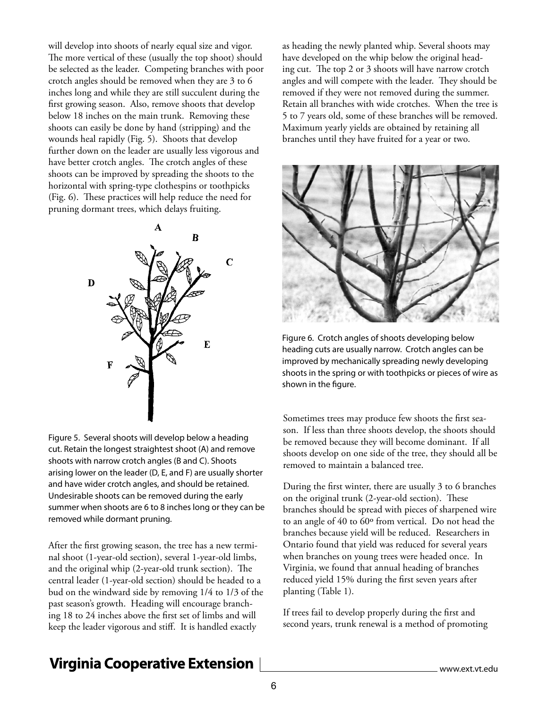will develop into shoots of nearly equal size and vigor. The more vertical of these (usually the top shoot) should be selected as the leader. Competing branches with poor crotch angles should be removed when they are 3 to 6 inches long and while they are still succulent during the first growing season. Also, remove shoots that develop below 18 inches on the main trunk. Removing these shoots can easily be done by hand (stripping) and the wounds heal rapidly (Fig. 5). Shoots that develop further down on the leader are usually less vigorous and have better crotch angles. The crotch angles of these shoots can be improved by spreading the shoots to the horizontal with spring-type clothespins or toothpicks (Fig. 6). These practices will help reduce the need for pruning dormant trees, which delays fruiting.



Figure 5. Several shoots will develop below a heading cut. Retain the longest straightest shoot (A) and remove shoots with narrow crotch angles (B and C). Shoots arising lower on the leader (D, E, and F) are usually shorter and have wider crotch angles, and should be retained. Undesirable shoots can be removed during the early summer when shoots are 6 to 8 inches long or they can be removed while dormant pruning.

After the first growing season, the tree has a new terminal shoot (1-year-old section), several 1-year-old limbs, and the original whip (2-year-old trunk section). The central leader (1-year-old section) should be headed to a bud on the windward side by removing 1/4 to 1/3 of the past season's growth. Heading will encourage branching 18 to 24 inches above the first set of limbs and will keep the leader vigorous and stiff. It is handled exactly

as heading the newly planted whip. Several shoots may have developed on the whip below the original heading cut. The top 2 or 3 shoots will have narrow crotch angles and will compete with the leader. They should be removed if they were not removed during the summer. Retain all branches with wide crotches. When the tree is 5 to 7 years old, some of these branches will be removed. Maximum yearly yields are obtained by retaining all branches until they have fruited for a year or two.



Figure 6. Crotch angles of shoots developing below heading cuts are usually narrow. Crotch angles can be improved by mechanically spreading newly developing shoots in the spring or with toothpicks or pieces of wire as shown in the figure.

Sometimes trees may produce few shoots the first season. If less than three shoots develop, the shoots should be removed because they will become dominant. If all shoots develop on one side of the tree, they should all be removed to maintain a balanced tree.

During the first winter, there are usually 3 to 6 branches on the original trunk (2-year-old section). These branches should be spread with pieces of sharpened wire to an angle of 40 to 60º from vertical. Do not head the branches because yield will be reduced. Researchers in Ontario found that yield was reduced for several years when branches on young trees were headed once. In Virginia, we found that annual heading of branches reduced yield 15% during the first seven years after planting (Table 1).

If trees fail to develop properly during the first and second years, trunk renewal is a method of promoting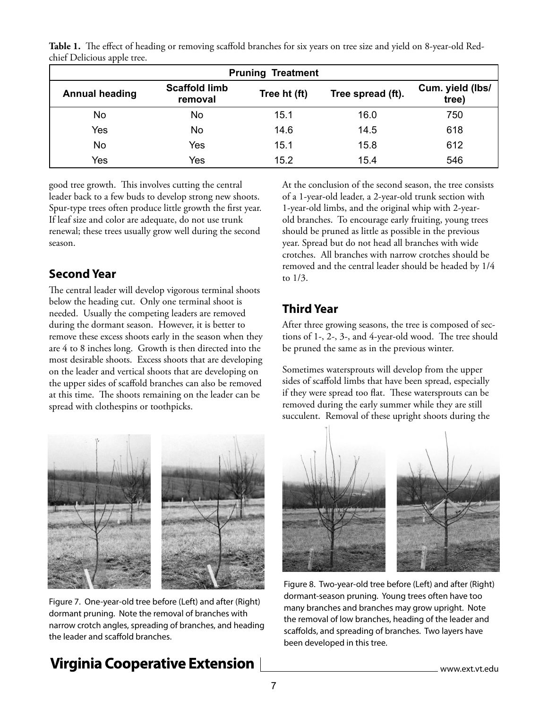**Table 1.** The effect of heading or removing scaffold branches for six years on tree size and yield on 8-year-old Redchief Delicious apple tree.

| <b>Pruning Treatment</b> |                                 |              |                   |                           |
|--------------------------|---------------------------------|--------------|-------------------|---------------------------|
| <b>Annual heading</b>    | <b>Scaffold limb</b><br>removal | Tree ht (ft) | Tree spread (ft). | Cum. yield (lbs/<br>tree) |
| No                       | No                              | 15.1         | 16.0              | 750                       |
| Yes                      | No                              | 14.6         | 14.5              | 618                       |
| No                       | Yes                             | 15.1         | 15.8              | 612                       |
| Yes                      | Yes                             | 15.2         | 15.4              | 546                       |

good tree growth. This involves cutting the central leader back to a few buds to develop strong new shoots. Spur-type trees often produce little growth the first year. If leaf size and color are adequate, do not use trunk renewal; these trees usually grow well during the second season.

### **Second Year**

The central leader will develop vigorous terminal shoots below the heading cut. Only one terminal shoot is needed. Usually the competing leaders are removed during the dormant season. However, it is better to remove these excess shoots early in the season when they are 4 to 8 inches long. Growth is then directed into the most desirable shoots. Excess shoots that are developing on the leader and vertical shoots that are developing on the upper sides of scaffold branches can also be removed at this time. The shoots remaining on the leader can be spread with clothespins or toothpicks.



Figure 7. One-year-old tree before (Left) and after (Right) dormant pruning. Note the removal of branches with narrow crotch angles, spreading of branches, and heading the leader and scaffold branches.

## **Virginia Cooperative Extension**

At the conclusion of the second season, the tree consists of a 1-year-old leader, a 2-year-old trunk section with 1-year-old limbs, and the original whip with 2-yearold branches. To encourage early fruiting, young trees should be pruned as little as possible in the previous year. Spread but do not head all branches with wide crotches. All branches with narrow crotches should be removed and the central leader should be headed by 1/4 to 1/3.

## **Third Year**

After three growing seasons, the tree is composed of sections of 1-, 2-, 3-, and 4-year-old wood. The tree should be pruned the same as in the previous winter.

Sometimes watersprouts will develop from the upper sides of scaffold limbs that have been spread, especially if they were spread too flat. These watersprouts can be removed during the early summer while they are still succulent. Removal of these upright shoots during the



Figure 8. Two-year-old tree before (Left) and after (Right) dormant-season pruning. Young trees often have too many branches and branches may grow upright. Note the removal of low branches, heading of the leader and scaffolds, and spreading of branches. Two layers have been developed in this tree.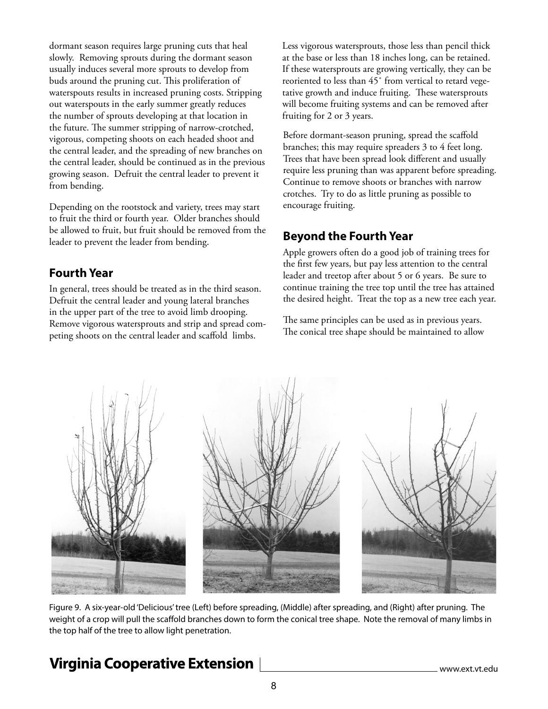dormant season requires large pruning cuts that heal slowly. Removing sprouts during the dormant season usually induces several more sprouts to develop from buds around the pruning cut. This proliferation of waterspouts results in increased pruning costs. Stripping out waterspouts in the early summer greatly reduces the number of sprouts developing at that location in the future. The summer stripping of narrow-crotched, vigorous, competing shoots on each headed shoot and the central leader, and the spreading of new branches on the central leader, should be continued as in the previous growing season. Defruit the central leader to prevent it from bending.

Depending on the rootstock and variety, trees may start to fruit the third or fourth year. Older branches should be allowed to fruit, but fruit should be removed from the leader to prevent the leader from bending.

### **Fourth Year**

In general, trees should be treated as in the third season. Defruit the central leader and young lateral branches in the upper part of the tree to avoid limb drooping. Remove vigorous watersprouts and strip and spread competing shoots on the central leader and scaffold limbs.

Less vigorous watersprouts, those less than pencil thick at the base or less than 18 inches long, can be retained. If these watersprouts are growing vertically, they can be reoriented to less than 45˚ from vertical to retard vegetative growth and induce fruiting. These watersprouts will become fruiting systems and can be removed after fruiting for 2 or 3 years.

Before dormant-season pruning, spread the scaffold branches; this may require spreaders 3 to 4 feet long. Trees that have been spread look different and usually require less pruning than was apparent before spreading. Continue to remove shoots or branches with narrow crotches. Try to do as little pruning as possible to encourage fruiting.

### **Beyond the Fourth Year**

Apple growers often do a good job of training trees for the first few years, but pay less attention to the central leader and treetop after about 5 or 6 years. Be sure to continue training the tree top until the tree has attained the desired height. Treat the top as a new tree each year.

The same principles can be used as in previous years. The conical tree shape should be maintained to allow



Figure 9. A six-year-old 'Delicious' tree (Left) before spreading, (Middle) after spreading, and (Right) after pruning. The weight of a crop will pull the scaffold branches down to form the conical tree shape. Note the removal of many limbs in the top half of the tree to allow light penetration.